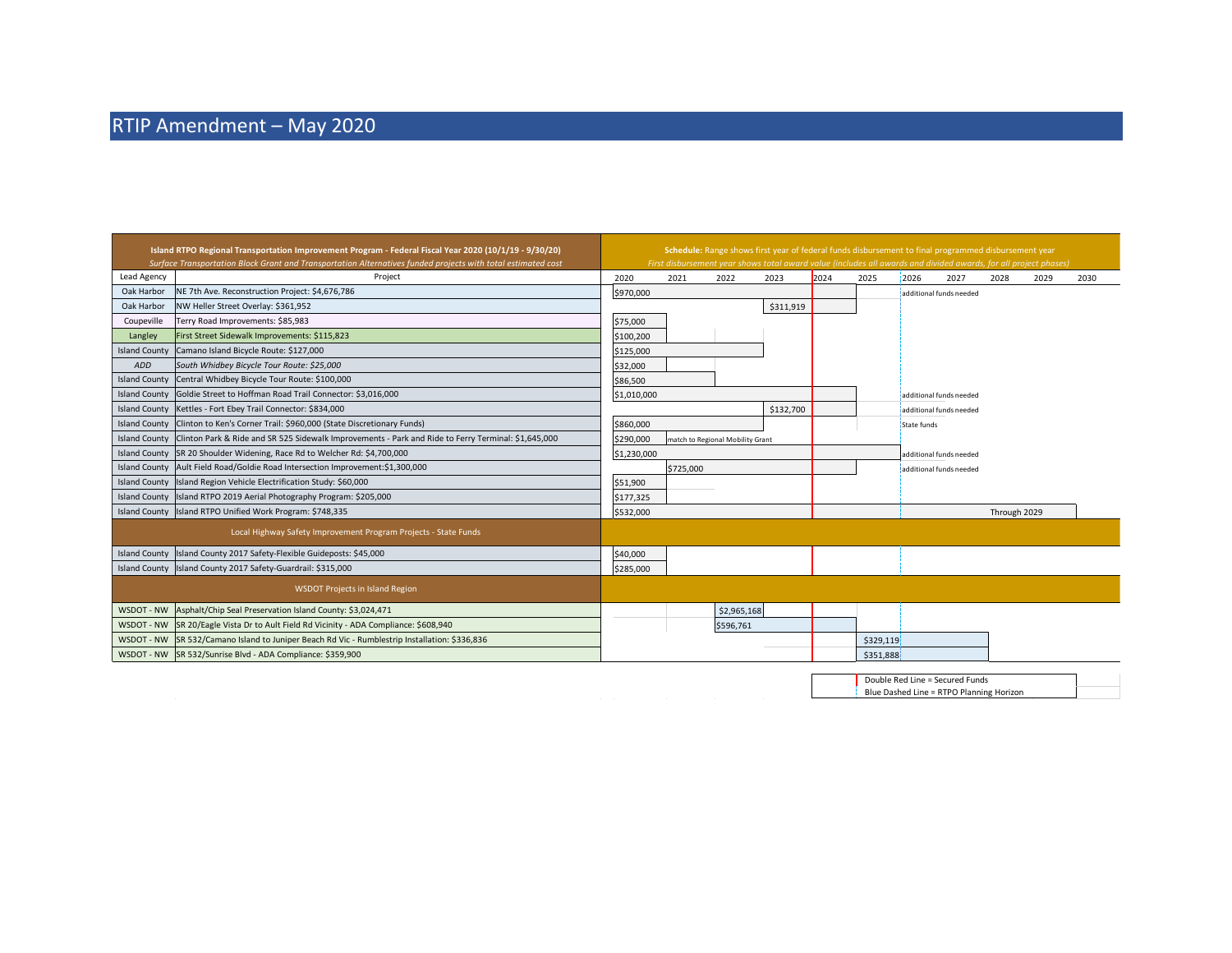$\mathcal{L}(\mathcal{A})$  and  $\mathcal{L}(\mathcal{A})$  . In the  $\mathcal{L}(\mathcal{A})$ 

| Island RTPO Regional Transportation Improvement Program - Federal Fiscal Year 2020 (10/1/19 - 9/30/20)<br>Surface Transportation Block Grant and Transportation Alternatives funded projects with total estimated cost |                                                                                                     |             | Schedule: Range shows first year of federal funds disbursement to final programmed disbursement year<br>First disbursement year shows total award value (includes all awards and divided awards, for all project phases) |                                  |           |      |           |                         |                         |              |      |      |
|------------------------------------------------------------------------------------------------------------------------------------------------------------------------------------------------------------------------|-----------------------------------------------------------------------------------------------------|-------------|--------------------------------------------------------------------------------------------------------------------------------------------------------------------------------------------------------------------------|----------------------------------|-----------|------|-----------|-------------------------|-------------------------|--------------|------|------|
| Lead Agency                                                                                                                                                                                                            | Project                                                                                             | 2020        | 2021                                                                                                                                                                                                                     | 2022                             | 2023      | 2024 | 2025      | 2026                    | 2027                    | 2028         | 2029 | 2030 |
| Oak Harbor                                                                                                                                                                                                             | NE 7th Ave. Reconstruction Project: \$4,676,786                                                     | \$970,000   |                                                                                                                                                                                                                          |                                  |           |      |           |                         | additional funds needed |              |      |      |
| Oak Harbor                                                                                                                                                                                                             | NW Heller Street Overlay: \$361,952                                                                 |             |                                                                                                                                                                                                                          |                                  | \$311,919 |      |           |                         |                         |              |      |      |
| Coupeville                                                                                                                                                                                                             | Terry Road Improvements: \$85,983                                                                   | \$75,000    |                                                                                                                                                                                                                          |                                  |           |      |           |                         |                         |              |      |      |
| Langley                                                                                                                                                                                                                | First Street Sidewalk Improvements: \$115,823                                                       | \$100,200   |                                                                                                                                                                                                                          |                                  |           |      |           |                         |                         |              |      |      |
| <b>Island County</b>                                                                                                                                                                                                   | Camano Island Bicycle Route: \$127,000                                                              | \$125,000   |                                                                                                                                                                                                                          |                                  |           |      |           |                         |                         |              |      |      |
| ADD                                                                                                                                                                                                                    | South Whidbey Bicycle Tour Route: \$25,000                                                          | \$32,000    |                                                                                                                                                                                                                          |                                  |           |      |           |                         |                         |              |      |      |
| <b>Island County</b>                                                                                                                                                                                                   | Central Whidbey Bicycle Tour Route: \$100,000                                                       | \$86,500    |                                                                                                                                                                                                                          |                                  |           |      |           |                         |                         |              |      |      |
| <b>Island County</b>                                                                                                                                                                                                   | Goldie Street to Hoffman Road Trail Connector: \$3,016,000                                          | \$1,010,000 |                                                                                                                                                                                                                          |                                  |           |      |           | additional funds needed |                         |              |      |      |
| <b>Island County</b>                                                                                                                                                                                                   | Kettles - Fort Ebey Trail Connector: \$834,000                                                      |             |                                                                                                                                                                                                                          |                                  | \$132,700 |      |           |                         | additional funds needed |              |      |      |
| <b>Island County</b>                                                                                                                                                                                                   | Clinton to Ken's Corner Trail: \$960,000 (State Discretionary Funds)                                | \$860,000   |                                                                                                                                                                                                                          |                                  |           |      |           | State funds             |                         |              |      |      |
| <b>Island County</b>                                                                                                                                                                                                   | Clinton Park & Ride and SR 525 Sidewalk Improvements - Park and Ride to Ferry Terminal: \$1,645,000 | \$290,000   |                                                                                                                                                                                                                          | match to Regional Mobility Grant |           |      |           |                         |                         |              |      |      |
|                                                                                                                                                                                                                        | Island County SR 20 Shoulder Widening, Race Rd to Welcher Rd: \$4,700,000                           | \$1,230,000 |                                                                                                                                                                                                                          |                                  |           |      |           | additional funds needed |                         |              |      |      |
| <b>Island County</b>                                                                                                                                                                                                   | Ault Field Road/Goldie Road Intersection Improvement:\$1,300,000                                    | \$725,000   |                                                                                                                                                                                                                          |                                  |           |      |           | additional funds needed |                         |              |      |      |
|                                                                                                                                                                                                                        | Island County Island Region Vehicle Electrification Study: \$60,000                                 | \$51,900    |                                                                                                                                                                                                                          |                                  |           |      |           |                         |                         |              |      |      |
| <b>Island County</b>                                                                                                                                                                                                   | Island RTPO 2019 Aerial Photography Program: \$205,000                                              | \$177,325   |                                                                                                                                                                                                                          |                                  |           |      |           |                         |                         |              |      |      |
|                                                                                                                                                                                                                        | Island County   Island RTPO Unified Work Program: \$748,335                                         | \$532,000   |                                                                                                                                                                                                                          |                                  |           |      |           |                         |                         | Through 2029 |      |      |
|                                                                                                                                                                                                                        | Local Highway Safety Improvement Program Projects - State Funds                                     |             |                                                                                                                                                                                                                          |                                  |           |      |           |                         |                         |              |      |      |
| <b>Island County</b>                                                                                                                                                                                                   | Island County 2017 Safety-Flexible Guideposts: \$45,000                                             | \$40,000    |                                                                                                                                                                                                                          |                                  |           |      |           |                         |                         |              |      |      |
|                                                                                                                                                                                                                        | Island County Island County 2017 Safety-Guardrail: \$315,000                                        | \$285,000   |                                                                                                                                                                                                                          |                                  |           |      |           |                         |                         |              |      |      |
|                                                                                                                                                                                                                        | <b>WSDOT Projects in Island Region</b>                                                              |             |                                                                                                                                                                                                                          |                                  |           |      |           |                         |                         |              |      |      |
| WSDOT - NW                                                                                                                                                                                                             | Asphalt/Chip Seal Preservation Island County: \$3,024,471                                           |             |                                                                                                                                                                                                                          | \$2,965,168                      |           |      |           |                         |                         |              |      |      |
| WSDOT - NW                                                                                                                                                                                                             | SR 20/Eagle Vista Dr to Ault Field Rd Vicinity - ADA Compliance: \$608,940                          |             |                                                                                                                                                                                                                          | \$596,761                        |           |      |           |                         |                         |              |      |      |
| WSDOT - NW                                                                                                                                                                                                             | SR 532/Camano Island to Juniper Beach Rd Vic - Rumblestrip Installation: \$336,836                  |             |                                                                                                                                                                                                                          |                                  |           |      | \$329,119 |                         |                         |              |      |      |
| WSDOT - NW                                                                                                                                                                                                             | SR 532/Sunrise Blvd - ADA Compliance: \$359.900                                                     |             |                                                                                                                                                                                                                          |                                  |           |      | \$351,888 |                         |                         |              |      |      |
|                                                                                                                                                                                                                        |                                                                                                     |             |                                                                                                                                                                                                                          |                                  |           |      |           |                         |                         |              |      |      |

 $\label{eq:2.1} \frac{1}{2} \int_{\mathbb{R}^3} \frac{1}{\sqrt{2\pi}} \left( \frac{1}{\sqrt{2\pi}} \int_{\mathbb{R}^3} \frac{1}{\sqrt{2\pi}} \left( \frac{1}{\sqrt{2\pi}} \int_{\mathbb{R}^3} \frac{1}{\sqrt{2\pi}} \frac{1}{\sqrt{2\pi}} \frac{1}{\sqrt{2\pi}} \frac{1}{\sqrt{2\pi}} \frac{1}{\sqrt{2\pi}} \frac{1}{\sqrt{2\pi}} \frac{1}{\sqrt{2\pi}} \frac{1}{\sqrt{2\pi}} \frac{1}{\sqrt{2\pi}} \frac{1}{\$ 

Double Red Line = Secured Funds Blue Dashed Line = RTPO Planning Horizon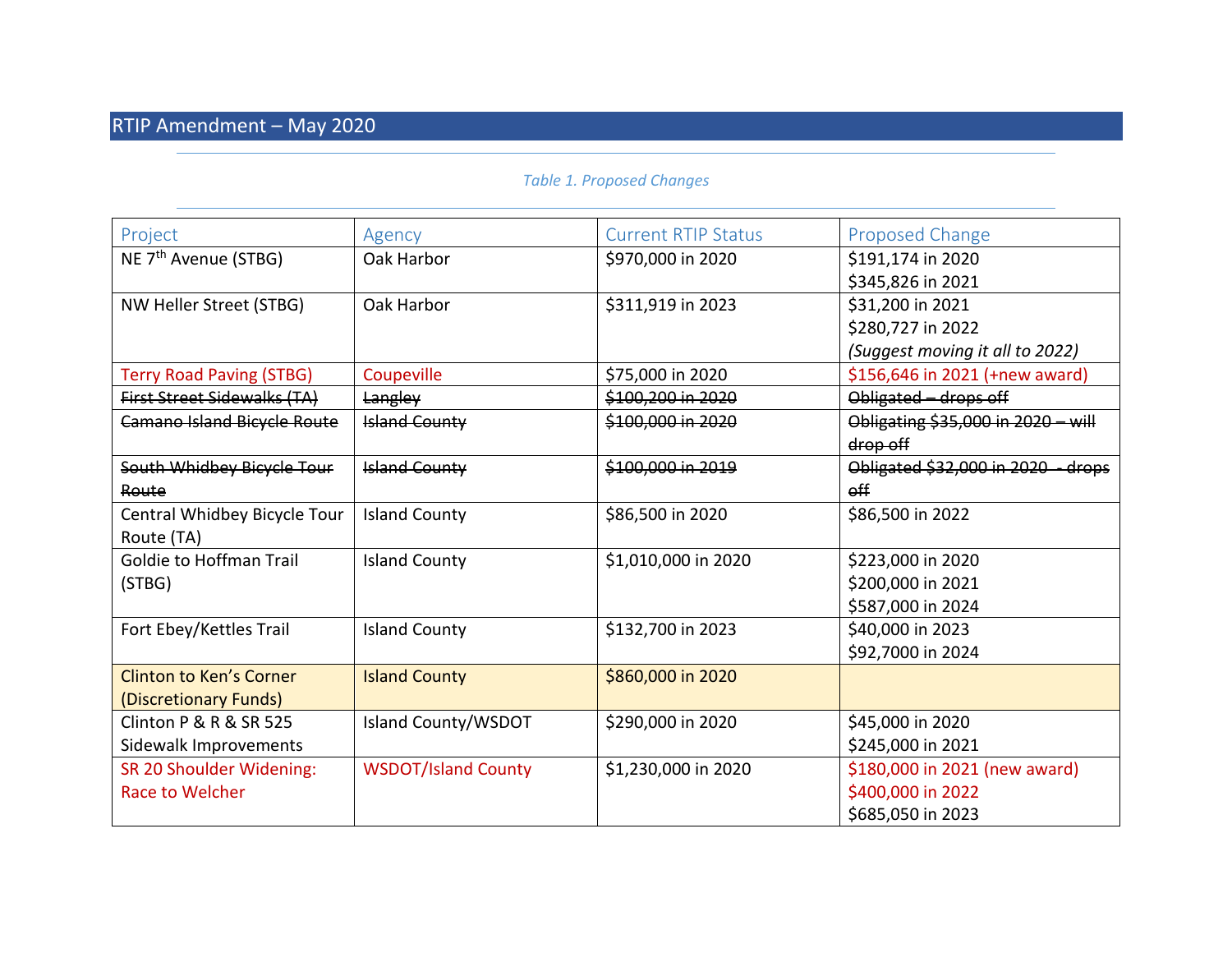## *Table 1. Proposed Changes*

| Project                            | Agency                     | <b>Current RTIP Status</b> | Proposed Change                    |
|------------------------------------|----------------------------|----------------------------|------------------------------------|
| NE 7 <sup>th</sup> Avenue (STBG)   | Oak Harbor                 | \$970,000 in 2020          | \$191,174 in 2020                  |
|                                    |                            |                            | \$345,826 in 2021                  |
| NW Heller Street (STBG)            | Oak Harbor                 | \$311,919 in 2023          | \$31,200 in 2021                   |
|                                    |                            |                            | \$280,727 in 2022                  |
|                                    |                            |                            | (Suggest moving it all to 2022)    |
| <b>Terry Road Paving (STBG)</b>    | Coupeville                 | \$75,000 in 2020           | \$156,646 in 2021 (+new award)     |
| <b>First Street Sidewalks (TA)</b> | Langley                    | \$100,200 in 2020          | Obligated - drops off              |
| <b>Camano Island Bicycle Route</b> | <b>Island County</b>       | \$100,000 in 2020          | Obligating \$35,000 in 2020 - will |
|                                    |                            |                            | drop off                           |
| South Whidbey Bicycle Tour         | <b>Island County</b>       | \$100,000 in 2019          | Obligated \$32,000 in 2020 - drops |
| Route                              |                            |                            | $_{\text{eff}}$                    |
| Central Whidbey Bicycle Tour       | <b>Island County</b>       | \$86,500 in 2020           | \$86,500 in 2022                   |
| Route (TA)                         |                            |                            |                                    |
| <b>Goldie to Hoffman Trail</b>     | <b>Island County</b>       | \$1,010,000 in 2020        | \$223,000 in 2020                  |
| (STBG)                             |                            |                            | \$200,000 in 2021                  |
|                                    |                            |                            | \$587,000 in 2024                  |
| Fort Ebey/Kettles Trail            | <b>Island County</b>       | \$132,700 in 2023          | \$40,000 in 2023                   |
|                                    |                            |                            | \$92,7000 in 2024                  |
| <b>Clinton to Ken's Corner</b>     | <b>Island County</b>       | \$860,000 in 2020          |                                    |
| (Discretionary Funds)              |                            |                            |                                    |
| Clinton P & R & SR 525             | Island County/WSDOT        | \$290,000 in 2020          | \$45,000 in 2020                   |
| Sidewalk Improvements              |                            |                            | \$245,000 in 2021                  |
| SR 20 Shoulder Widening:           | <b>WSDOT/Island County</b> | \$1,230,000 in 2020        | \$180,000 in 2021 (new award)      |
| Race to Welcher                    |                            |                            | \$400,000 in 2022                  |
|                                    |                            |                            | \$685,050 in 2023                  |